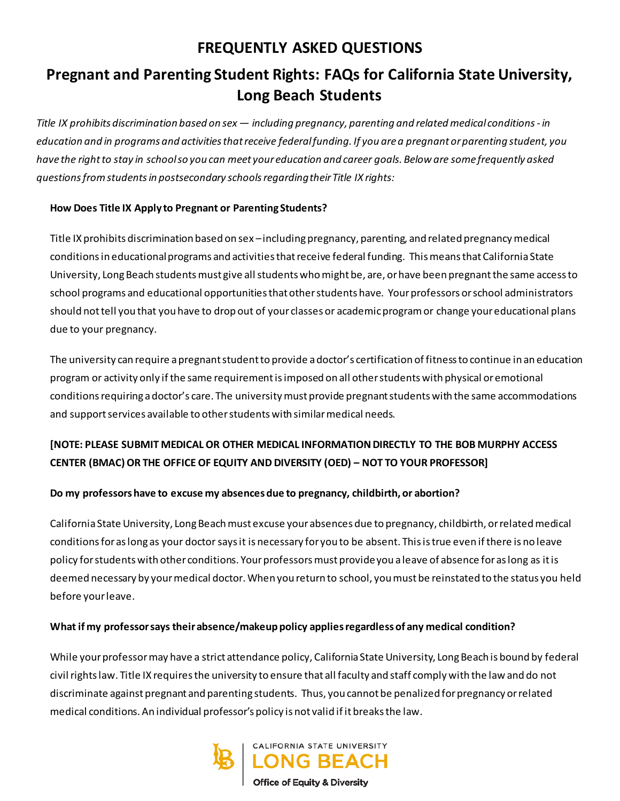## **FREQUENTLY ASKED QUESTIONS**

# **Pregnant and Parenting Student Rights: FAQs for California State University, Long Beach Students**

*Title IX prohibits discrimination based on sex — including pregnancy, parenting and related medical conditions- in education and in programs and activities that receive federal funding. If you are a pregnant or parenting student, you have the right to stay in school so you can meet your education and career goals. Below are some frequently asked questions from students in postsecondary schools regarding their Title IX rights:*

#### **How Does Title IX Apply to Pregnant or Parenting Students?**

Title IX prohibits discrimination based on sex –including pregnancy, parenting, and related pregnancy medical conditionsin educational programs and activities that receive federal funding. This means that California State University, Long Beach students must give all students who might be, are, or have been pregnantthe same access to school programs and educational opportunities that other students have. Your professors or school administrators should not tell you that you have to drop out of your classes or academic program or change your educational plans due to your pregnancy.

The university can require a pregnant student to provide a doctor's certification of fitness to continue in an education program or activity only if the same requirement is imposed on all other students with physical or emotional conditions requiring a doctor's care. The university must provide pregnant students with the same accommodations and support services available to other students with similar medical needs.

## **[NOTE: PLEASE SUBMIT MEDICAL OR OTHER MEDICAL INFORMATION DIRECTLY TO THE BOB MURPHY ACCESS CENTER (BMAC)OR THE OFFICE OF EQUITY AND DIVERSITY (OED) – NOT TO YOUR PROFESSOR]**

#### **Do my professors have to excuse my absences due to pregnancy, childbirth, or abortion?**

California State University, Long Beachmust excuse your absences due to pregnancy, childbirth, or related medical conditions for as long as your doctor says it is necessary for you to be absent. This is true even if there is no leave policy for students with other conditions. Your professors must provide you a leave of absence for as long as it is deemed necessary by your medical doctor. When you return to school, you must be reinstated to the status you held before your leave.

#### **What if my professor says their absence/makeup policy applies regardless of any medical condition?**

While your professor may have a strict attendance policy, California State University, Long Beach is bound by federal civil rights law. Title IX requires the university to ensure that all faculty and staff comply with the law and do not discriminate against pregnant and parenting students. Thus, you cannot be penalized for pregnancy or related medical conditions. An individual professor's policy is not valid if it breaks the law.

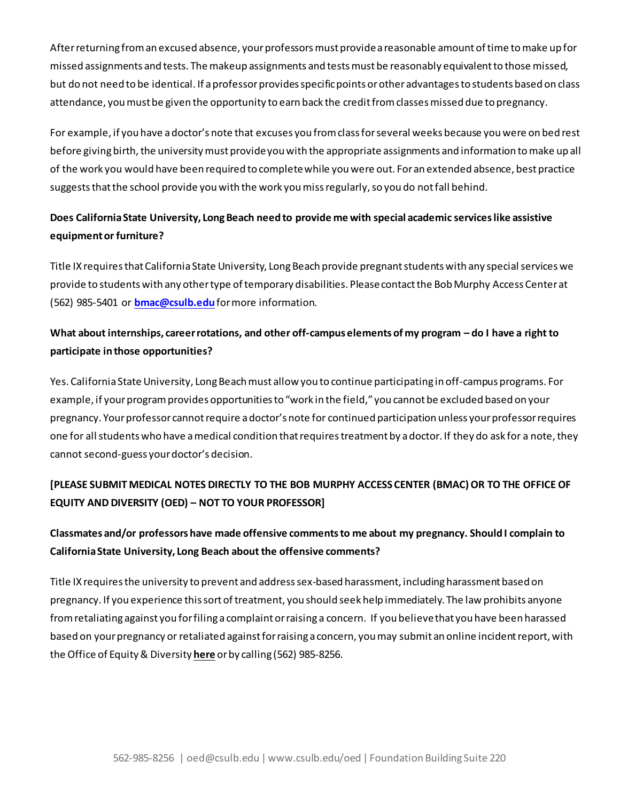After returning from an excused absence, your professors must provide a reasonable amount of time to make up for missed assignments and tests. The makeup assignments and tests must be reasonably equivalent to those missed, but do not need to be identical. If a professor provides specific points or other advantages to students based on class attendance, you must be given the opportunity to earn back the credit from classes missed due to pregnancy.

For example, if you have a doctor's note that excuses you from class for several weeks because you were on bed rest before giving birth, the universitymust provide you with the appropriate assignments and information to make up all of the work you would have been required to complete while you were out. For an extended absence, best practice suggests that the school provide you with the work you miss regularly, so you do not fall behind.

## **Does California State University, Long Beach need to provide me with special academic serviceslike assistive equipment or furniture?**

Title IX requires that California State University, Long Beach provide pregnant students with any special services we provide to students with any other type of temporary disabilities. Please contact the Bob Murphy Access Center at (562) 985-5401 or **[bmac@csulb.edu](mailto:bmac@csulb.edu)**for more information.

### **What about internships, career rotations, and other off-campus elements of my program – do I have a right to participate in those opportunities?**

Yes. California State University, Long Beach must allow you to continue participating in off-campus programs. For example, if your program provides opportunities to "work in the field," you cannot be excluded based on your pregnancy. Your professor cannot require a doctor's note for continued participation unless your professor requires one for all students who have a medical condition that requires treatment by a doctor. If they do ask for a note, they cannot second-guess your doctor's decision.

## **[PLEASE SUBMIT MEDICAL NOTES DIRECTLY TO THE BOB MURPHY ACCESS CENTER (BMAC) OR TO THE OFFICE OF EQUITY AND DIVERSITY (OED) – NOT TO YOUR PROFESSOR]**

### **Classmates and/or professors have made offensive comments to me about my pregnancy. Should I complain to California State University, Long Beach about the offensive comments?**

Title IX requires the university to prevent and address sex-based harassment, including harassment based on pregnancy. If you experience this sort of treatment, you should seek help immediately. The law prohibits anyone from retaliating against you for filing a complaint or raising a concern. If you believe that you have been harassed based on your pregnancy or retaliated against for raising a concern, you may submit an online incident report, with the Office of Equity & Diversity **[here](https://www.csus.edu/administration-business-affairs/human-resources/_internal/_documents/eo-1097-rev-10-5-16.pdf)** or by calling (562) 985-8256.